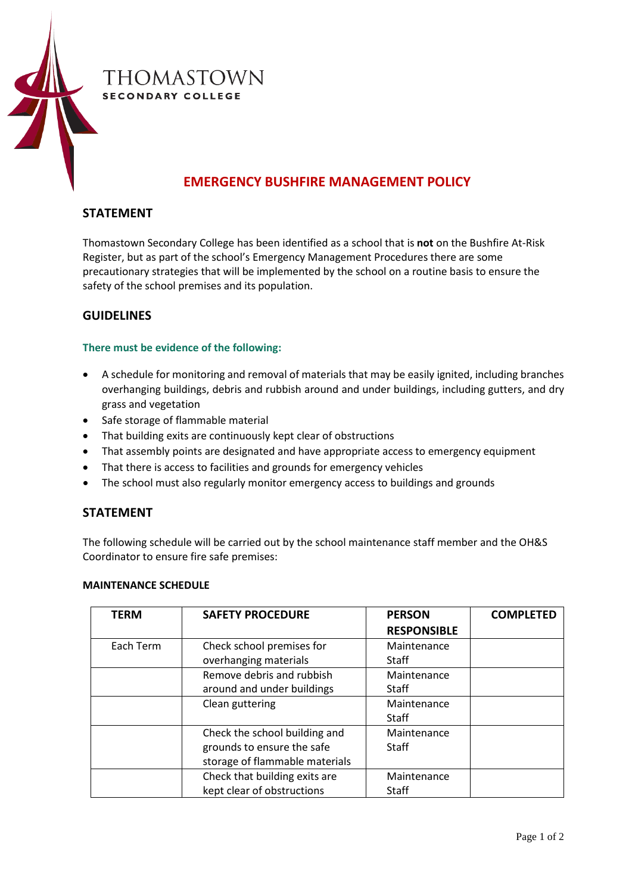

# **EMERGENCY BUSHFIRE MANAGEMENT POLICY**

# **STATEMENT**

Thomastown Secondary College has been identified as a school that is **not** on the Bushfire At-Risk Register, but as part of the school's Emergency Management Procedures there are some precautionary strategies that will be implemented by the school on a routine basis to ensure the safety of the school premises and its population.

## **GUIDELINES**

#### **There must be evidence of the following:**

- A schedule for monitoring and removal of materials that may be easily ignited, including branches overhanging buildings, debris and rubbish around and under buildings, including gutters, and dry grass and vegetation
- Safe storage of flammable material
- That building exits are continuously kept clear of obstructions
- That assembly points are designated and have appropriate access to emergency equipment
- That there is access to facilities and grounds for emergency vehicles
- The school must also regularly monitor emergency access to buildings and grounds

#### **STATEMENT**

The following schedule will be carried out by the school maintenance staff member and the OH&S Coordinator to ensure fire safe premises:

#### **MAINTENANCE SCHEDULE**

| <b>TERM</b> | <b>SAFETY PROCEDURE</b>        | <b>PERSON</b>      | <b>COMPLETED</b> |
|-------------|--------------------------------|--------------------|------------------|
|             |                                | <b>RESPONSIBLE</b> |                  |
| Each Term   | Check school premises for      | Maintenance        |                  |
|             | overhanging materials          | <b>Staff</b>       |                  |
|             | Remove debris and rubbish      | Maintenance        |                  |
|             | around and under buildings     | <b>Staff</b>       |                  |
|             | Clean guttering                | Maintenance        |                  |
|             |                                | <b>Staff</b>       |                  |
|             | Check the school building and  | Maintenance        |                  |
|             | grounds to ensure the safe     | <b>Staff</b>       |                  |
|             | storage of flammable materials |                    |                  |
|             | Check that building exits are  | Maintenance        |                  |
|             | kept clear of obstructions     | <b>Staff</b>       |                  |